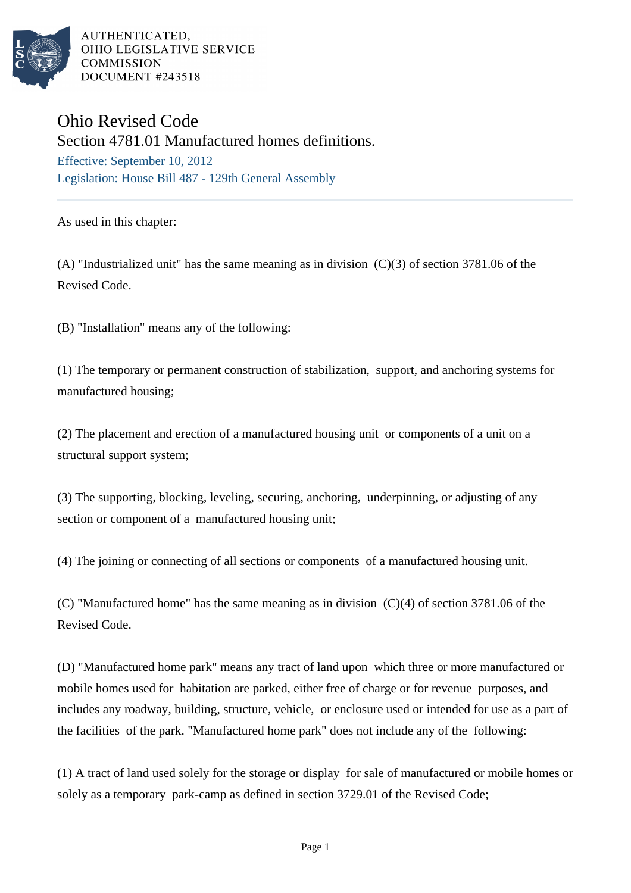

AUTHENTICATED. OHIO LEGISLATIVE SERVICE **COMMISSION** DOCUMENT #243518

## Ohio Revised Code

Section 4781.01 Manufactured homes definitions.

Effective: September 10, 2012 Legislation: House Bill 487 - 129th General Assembly

As used in this chapter:

(A) "Industrialized unit" has the same meaning as in division (C)(3) of section 3781.06 of the Revised Code.

(B) "Installation" means any of the following:

(1) The temporary or permanent construction of stabilization, support, and anchoring systems for manufactured housing;

(2) The placement and erection of a manufactured housing unit or components of a unit on a structural support system;

(3) The supporting, blocking, leveling, securing, anchoring, underpinning, or adjusting of any section or component of a manufactured housing unit;

(4) The joining or connecting of all sections or components of a manufactured housing unit.

(C) "Manufactured home" has the same meaning as in division (C)(4) of section 3781.06 of the Revised Code.

(D) "Manufactured home park" means any tract of land upon which three or more manufactured or mobile homes used for habitation are parked, either free of charge or for revenue purposes, and includes any roadway, building, structure, vehicle, or enclosure used or intended for use as a part of the facilities of the park. "Manufactured home park" does not include any of the following:

(1) A tract of land used solely for the storage or display for sale of manufactured or mobile homes or solely as a temporary park-camp as defined in section 3729.01 of the Revised Code;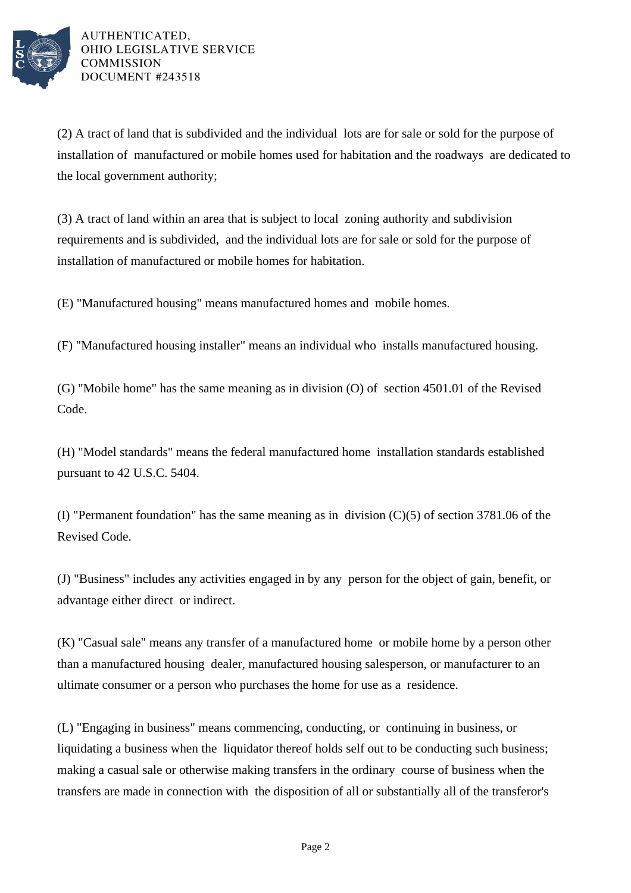

(2) A tract of land that is subdivided and the individual lots are for sale or sold for the purpose of installation of manufactured or mobile homes used for habitation and the roadways are dedicated to the local government authority;

(3) A tract of land within an area that is subject to local zoning authority and subdivision requirements and is subdivided, and the individual lots are for sale or sold for the purpose of installation of manufactured or mobile homes for habitation.

(E) "Manufactured housing" means manufactured homes and mobile homes.

(F) "Manufactured housing installer" means an individual who installs manufactured housing.

(G) "Mobile home" has the same meaning as in division (O) of section 4501.01 of the Revised Code.

(H) "Model standards" means the federal manufactured home installation standards established pursuant to 42 U.S.C. 5404.

(I) "Permanent foundation" has the same meaning as in division (C)(5) of section 3781.06 of the Revised Code.

(J) "Business" includes any activities engaged in by any person for the object of gain, benefit, or advantage either direct or indirect.

(K) "Casual sale" means any transfer of a manufactured home or mobile home by a person other than a manufactured housing dealer, manufactured housing salesperson, or manufacturer to an ultimate consumer or a person who purchases the home for use as a residence.

(L) "Engaging in business" means commencing, conducting, or continuing in business, or liquidating a business when the liquidator thereof holds self out to be conducting such business; making a casual sale or otherwise making transfers in the ordinary course of business when the transfers are made in connection with the disposition of all or substantially all of the transferor's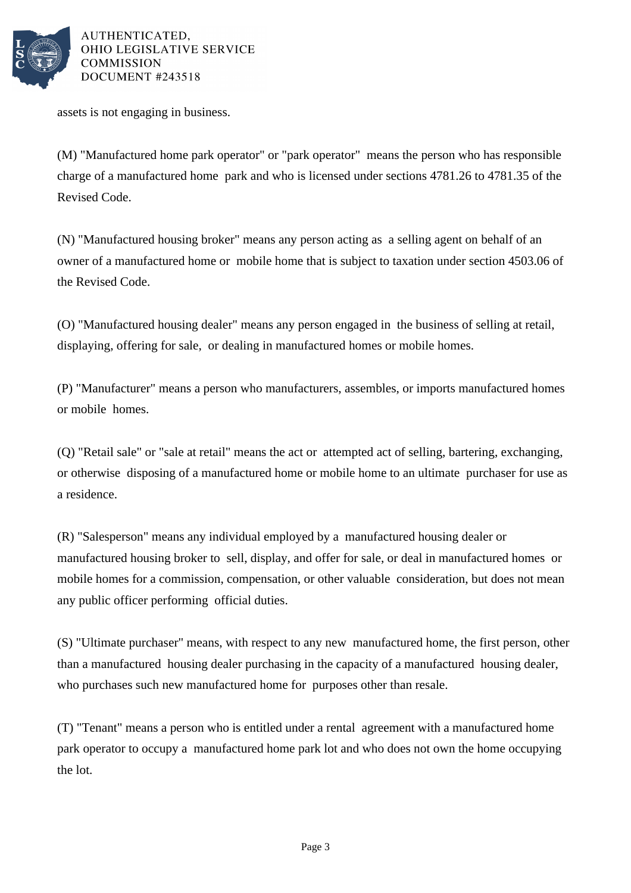

AUTHENTICATED. OHIO LEGISLATIVE SERVICE COMMISSION DOCUMENT #243518

assets is not engaging in business.

(M) "Manufactured home park operator" or "park operator" means the person who has responsible charge of a manufactured home park and who is licensed under sections 4781.26 to 4781.35 of the Revised Code.

(N) "Manufactured housing broker" means any person acting as a selling agent on behalf of an owner of a manufactured home or mobile home that is subject to taxation under section 4503.06 of the Revised Code.

(O) "Manufactured housing dealer" means any person engaged in the business of selling at retail, displaying, offering for sale, or dealing in manufactured homes or mobile homes.

(P) "Manufacturer" means a person who manufacturers, assembles, or imports manufactured homes or mobile homes.

(Q) "Retail sale" or "sale at retail" means the act or attempted act of selling, bartering, exchanging, or otherwise disposing of a manufactured home or mobile home to an ultimate purchaser for use as a residence.

(R) "Salesperson" means any individual employed by a manufactured housing dealer or manufactured housing broker to sell, display, and offer for sale, or deal in manufactured homes or mobile homes for a commission, compensation, or other valuable consideration, but does not mean any public officer performing official duties.

(S) "Ultimate purchaser" means, with respect to any new manufactured home, the first person, other than a manufactured housing dealer purchasing in the capacity of a manufactured housing dealer, who purchases such new manufactured home for purposes other than resale.

(T) "Tenant" means a person who is entitled under a rental agreement with a manufactured home park operator to occupy a manufactured home park lot and who does not own the home occupying the lot.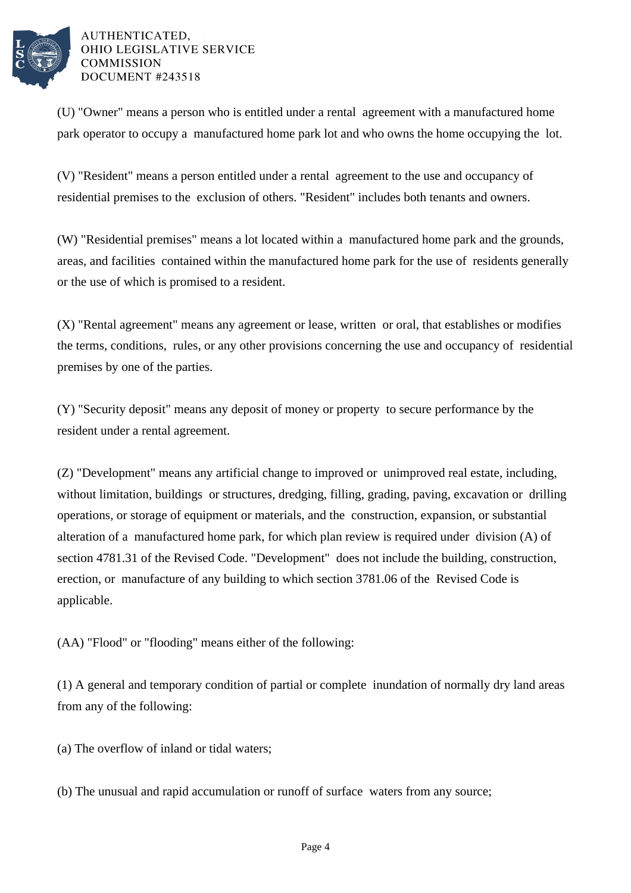

## AUTHENTICATED, OHIO LEGISLATIVE SERVICE **COMMISSION** DOCUMENT #243518

(U) "Owner" means a person who is entitled under a rental agreement with a manufactured home park operator to occupy a manufactured home park lot and who owns the home occupying the lot.

(V) "Resident" means a person entitled under a rental agreement to the use and occupancy of residential premises to the exclusion of others. "Resident" includes both tenants and owners.

(W) "Residential premises" means a lot located within a manufactured home park and the grounds, areas, and facilities contained within the manufactured home park for the use of residents generally or the use of which is promised to a resident.

(X) "Rental agreement" means any agreement or lease, written or oral, that establishes or modifies the terms, conditions, rules, or any other provisions concerning the use and occupancy of residential premises by one of the parties.

(Y) "Security deposit" means any deposit of money or property to secure performance by the resident under a rental agreement.

(Z) "Development" means any artificial change to improved or unimproved real estate, including, without limitation, buildings or structures, dredging, filling, grading, paving, excavation or drilling operations, or storage of equipment or materials, and the construction, expansion, or substantial alteration of a manufactured home park, for which plan review is required under division (A) of section 4781.31 of the Revised Code. "Development" does not include the building, construction, erection, or manufacture of any building to which section 3781.06 of the Revised Code is applicable.

(AA) "Flood" or "flooding" means either of the following:

(1) A general and temporary condition of partial or complete inundation of normally dry land areas from any of the following:

(a) The overflow of inland or tidal waters;

(b) The unusual and rapid accumulation or runoff of surface waters from any source;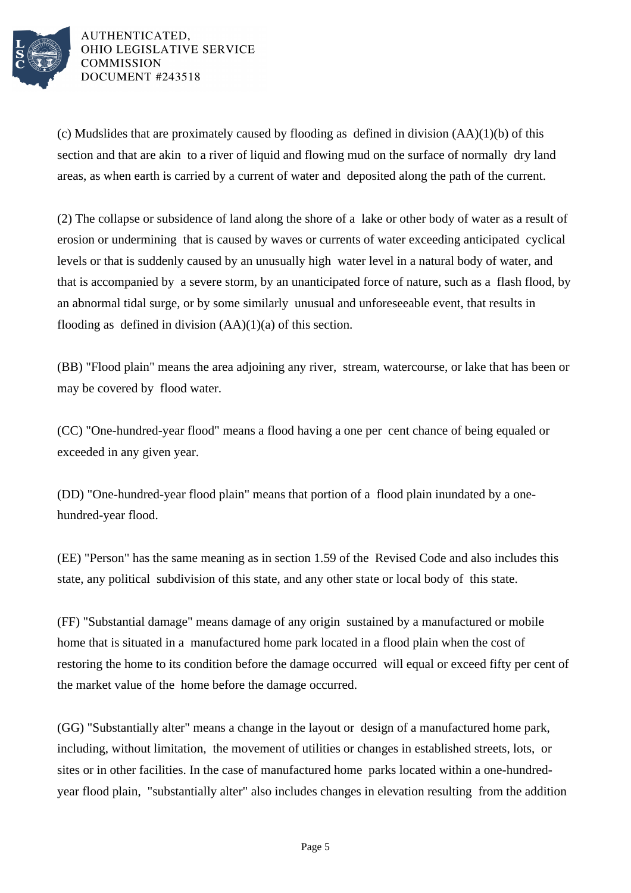

AUTHENTICATED, OHIO LEGISLATIVE SERVICE **COMMISSION** DOCUMENT #243518

(c) Mudslides that are proximately caused by flooding as defined in division (AA)(1)(b) of this section and that are akin to a river of liquid and flowing mud on the surface of normally dry land areas, as when earth is carried by a current of water and deposited along the path of the current.

(2) The collapse or subsidence of land along the shore of a lake or other body of water as a result of erosion or undermining that is caused by waves or currents of water exceeding anticipated cyclical levels or that is suddenly caused by an unusually high water level in a natural body of water, and that is accompanied by a severe storm, by an unanticipated force of nature, such as a flash flood, by an abnormal tidal surge, or by some similarly unusual and unforeseeable event, that results in flooding as defined in division  $(AA)(1)(a)$  of this section.

(BB) "Flood plain" means the area adjoining any river, stream, watercourse, or lake that has been or may be covered by flood water.

(CC) "One-hundred-year flood" means a flood having a one per cent chance of being equaled or exceeded in any given year.

(DD) "One-hundred-year flood plain" means that portion of a flood plain inundated by a onehundred-year flood.

(EE) "Person" has the same meaning as in section 1.59 of the Revised Code and also includes this state, any political subdivision of this state, and any other state or local body of this state.

(FF) "Substantial damage" means damage of any origin sustained by a manufactured or mobile home that is situated in a manufactured home park located in a flood plain when the cost of restoring the home to its condition before the damage occurred will equal or exceed fifty per cent of the market value of the home before the damage occurred.

(GG) "Substantially alter" means a change in the layout or design of a manufactured home park, including, without limitation, the movement of utilities or changes in established streets, lots, or sites or in other facilities. In the case of manufactured home parks located within a one-hundredyear flood plain, "substantially alter" also includes changes in elevation resulting from the addition